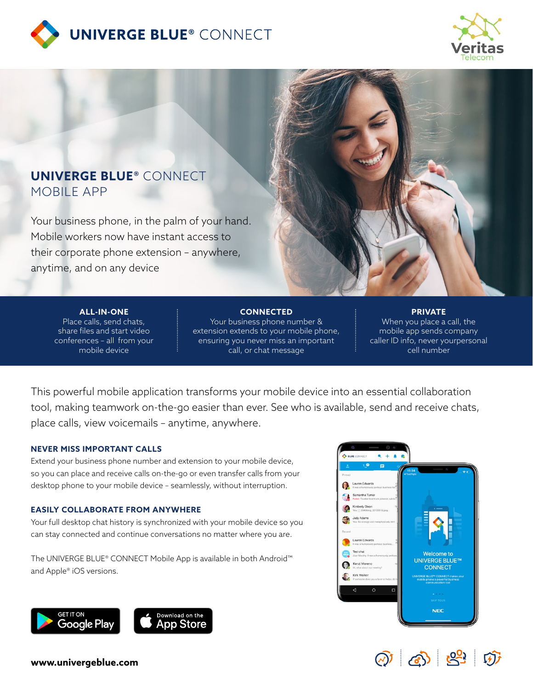



## **UNIVERGE BLUE®** CONNECT MOBILE APP

Your business phone, in the palm of your hand. Mobile workers now have instant access to their corporate phone extension – anywhere, anytime, and on any device



#### **ALL-IN-ONE**

Place calls, send chats, share files and start video conferences – all from your mobile device

**CONNECTED** Your business phone number & extension extends to your mobile phone, ensuring you never miss an important call, or chat message

**PRIVATE** When you place a call, the mobile app sends company caller ID info, never yourpersonal cell number

This powerful mobile application transforms your mobile device into an essential collaboration tool, making teamwork on-the-go easier than ever. See who is available, send and receive chats, place calls, view voicemails – anytime, anywhere.

### **NEVER MISS IMPORTANT CALLS**

Extend your business phone number and extension to your mobile device, so you can place and receive calls on-the-go or even transfer calls from your desktop phone to your mobile device – seamlessly, without interruption.

## **EASILY COLLABORATE FROM ANYWHERE**

Your full desktop chat history is synchronized with your mobile device so you can stay connected and continue conversations no matter where you are.

The UNIVERGE BLUE® CONNECT Mobile App is available in both Android™ and Apple® iOS versions.